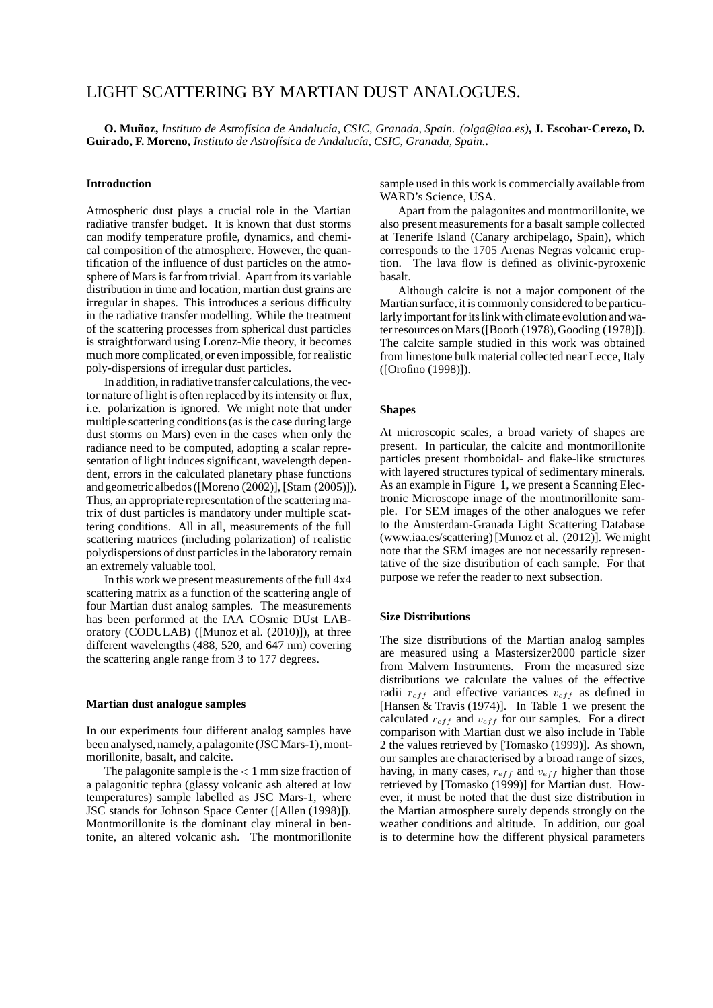# LIGHT SCATTERING BY MARTIAN DUST ANALOGUES.

**O. Munoz, ˜** *Instituto de Astrof´ısica de Andaluc´ıa, CSIC, Granada, Spain. (olga@iaa.es)***, J. Escobar-Cerezo, D. Guirado, F. Moreno,** *Instituto de Astrof´ısica de Andaluc´ıa, CSIC, Granada, Spain.***.**

#### **Introduction**

Atmospheric dust plays a crucial role in the Martian radiative transfer budget. It is known that dust storms can modify temperature profile, dynamics, and chemical composition of the atmosphere. However, the quantification of the influence of dust particles on the atmosphere of Mars is far from trivial. Apart from its variable distribution in time and location, martian dust grains are irregular in shapes. This introduces a serious difficulty in the radiative transfer modelling. While the treatment of the scattering processes from spherical dust particles is straightforward using Lorenz-Mie theory, it becomes much more complicated,or even impossible, for realistic poly-dispersions of irregular dust particles.

In addition, in radiative transfer calculations, the vector nature of light is often replaced by its intensity or flux, i.e. polarization is ignored. We might note that under multiple scattering conditions (as is the case during large dust storms on Mars) even in the cases when only the radiance need to be computed, adopting a scalar representation of light induces significant, wavelength dependent, errors in the calculated planetary phase functions and geometric albedos ([Moreno (2002)], [Stam (2005)]). Thus, an appropriate representation of the scattering matrix of dust particles is mandatory under multiple scattering conditions. All in all, measurements of the full scattering matrices (including polarization) of realistic polydispersions of dust particles in the laboratory remain an extremely valuable tool.

In this work we present measurements of the full 4x4 scattering matrix as a function of the scattering angle of four Martian dust analog samples. The measurements has been performed at the IAA COsmic DUst LABoratory (CODULAB) ([Munoz et al. (2010)]), at three different wavelengths (488, 520, and 647 nm) covering the scattering angle range from 3 to 177 degrees.

#### **Martian dust analogue samples**

In our experiments four different analog samples have been analysed, namely, a palagonite (JSC Mars-1), montmorillonite, basalt, and calcite.

The palagonite sample is the  $< 1$  mm size fraction of a palagonitic tephra (glassy volcanic ash altered at low temperatures) sample labelled as JSC Mars-1, where JSC stands for Johnson Space Center ([Allen (1998)]). Montmorillonite is the dominant clay mineral in bentonite, an altered volcanic ash. The montmorillonite sample used in this work is commercially available from WARD's Science, USA.

Apart from the palagonites and montmorillonite, we also present measurements for a basalt sample collected at Tenerife Island (Canary archipelago, Spain), which corresponds to the 1705 Arenas Negras volcanic eruption. The lava flow is defined as olivinic-pyroxenic basalt.

Although calcite is not a major component of the Martian surface, it is commonly considered to be particularly important for its link with climate evolution and water resources on Mars ([Booth (1978), Gooding (1978)]). The calcite sample studied in this work was obtained from limestone bulk material collected near Lecce, Italy ([Orofino (1998)]).

## **Shapes**

At microscopic scales, a broad variety of shapes are present. In particular, the calcite and montmorillonite particles present rhomboidal- and flake-like structures with layered structures typical of sedimentary minerals. As an example in Figure 1, we present a Scanning Electronic Microscope image of the montmorillonite sample. For SEM images of the other analogues we refer to the Amsterdam-Granada Light Scattering Database (www.iaa.es/scattering) [Munoz et al. (2012)]. We might note that the SEM images are not necessarily representative of the size distribution of each sample. For that purpose we refer the reader to next subsection.

#### **Size Distributions**

The size distributions of the Martian analog samples are measured using a Mastersizer2000 particle sizer from Malvern Instruments. From the measured size distributions we calculate the values of the effective radii  $r_{eff}$  and effective variances  $v_{eff}$  as defined in [Hansen & Travis (1974)]. In Table 1 we present the calculated  $r_{eff}$  and  $v_{eff}$  for our samples. For a direct comparison with Martian dust we also include in Table 2 the values retrieved by [Tomasko (1999)]. As shown, our samples are characterised by a broad range of sizes, having, in many cases,  $r_{eff}$  and  $v_{eff}$  higher than those retrieved by [Tomasko (1999)] for Martian dust. However, it must be noted that the dust size distribution in the Martian atmosphere surely depends strongly on the weather conditions and altitude. In addition, our goal is to determine how the different physical parameters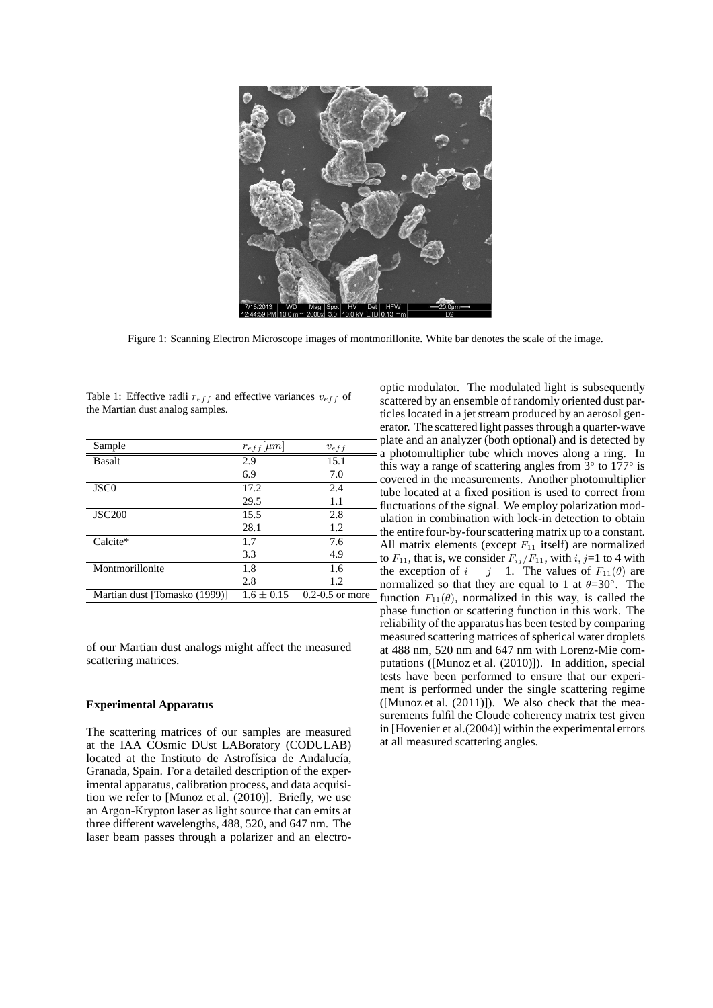

Figure 1: Scanning Electron Microscope images of montmorillonite. White bar denotes the scale of the image.

Table 1: Effective radii  $r_{eff}$  and effective variances  $v_{eff}$  of the Martian dust analog samples.

| Sample                        | $r_{eff}$ [ $\mu$ m] | $v_{eff}$           |
|-------------------------------|----------------------|---------------------|
| <b>Basalt</b>                 | 2.9                  | 15.1                |
|                               | 6.9                  | 7.0                 |
| JSC <sub>0</sub>              | 17.2                 | 2.4                 |
|                               | 29.5                 | 1.1                 |
| <b>JSC200</b>                 | 15.5                 | 2.8                 |
|                               | 28.1                 | 1.2                 |
| Calcite*                      | 1.7                  | 7.6                 |
|                               | 3.3                  | 4.9                 |
| Montmorillonite               | 1.8                  | 1.6                 |
|                               | 2.8                  | 1.2                 |
| Martian dust [Tomasko (1999)] | $1.6 + 0.15$         | $0.2 - 0.5$ or more |

of our Martian dust analogs might affect the measured scattering matrices.

# **Experimental Apparatus**

The scattering matrices of our samples are measured at the IAA COsmic DUst LABoratory (CODULAB) located at the Instituto de Astrofísica de Andalucía, Granada, Spain. For a detailed description of the experimental apparatus, calibration process, and data acquisition we refer to [Munoz et al. (2010)]. Briefly, we use an Argon-Krypton laser as light source that can emits at three different wavelengths, 488, 520, and 647 nm. The laser beam passes through a polarizer and an electrooptic modulator. The modulated light is subsequently scattered by an ensemble of randomly oriented dust particles located in a jet stream produced by an aerosol generator. The scattered light passes through a quarter-wave plate and an analyzer (both optional) and is detected by a photomultiplier tube which moves along a ring. In this way a range of scattering angles from  $3^\circ$  to  $177^\circ$  is covered in the measurements. Another photomultiplier tube located at a fixed position is used to correct from fluctuations of the signal. We employ polarization modulation in combination with lock-in detection to obtain the entire four-by-fourscattering matrix up to a constant. All matrix elements (except  $F_{11}$  itself) are normalized to  $F_{11}$ , that is, we consider  $F_{ij}/F_{11}$ , with  $i, j=1$  to 4 with the exception of  $i = j =1$ . The values of  $F_{11}(\theta)$  are normalized so that they are equal to 1 at  $\theta = 30^\circ$ . The function  $F_{11}(\theta)$ , normalized in this way, is called the phase function or scattering function in this work. The reliability of the apparatus has been tested by comparing measured scattering matrices of spherical water droplets at 488 nm, 520 nm and 647 nm with Lorenz-Mie computations ([Munoz et al. (2010)]). In addition, special tests have been performed to ensure that our experiment is performed under the single scattering regime ([Munoz et al. (2011)]). We also check that the measurements fulfil the Cloude coherency matrix test given in [Hovenier et al.(2004)] within the experimental errors at all measured scattering angles.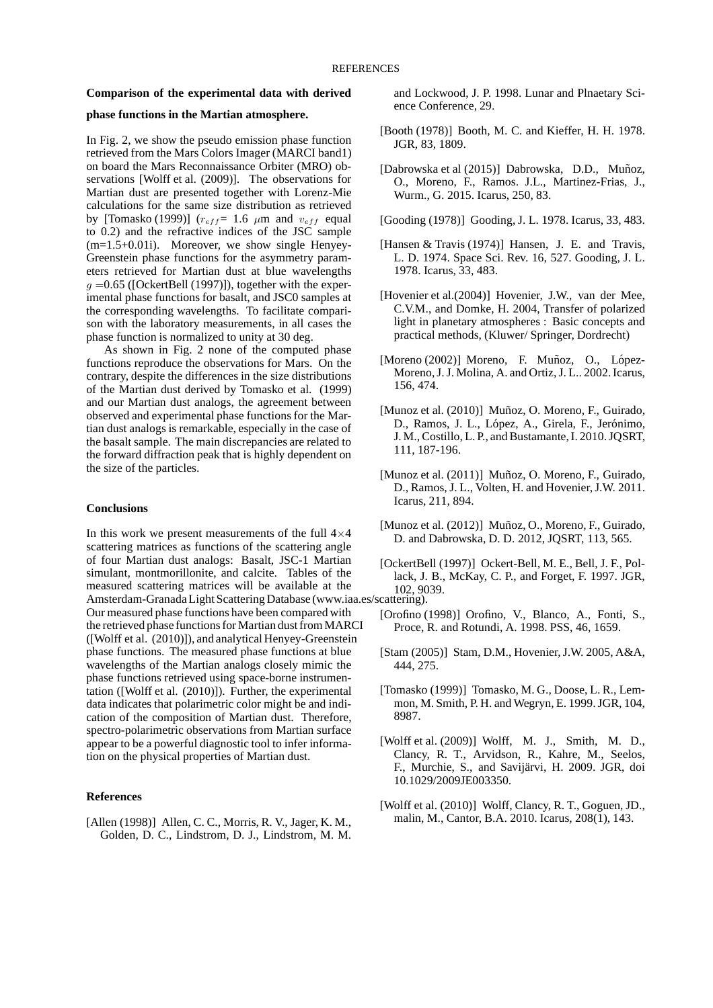#### **Comparison of the experimental data with derived**

### **phase functions in the Martian atmosphere.**

In Fig. 2, we show the pseudo emission phase function retrieved from the Mars Colors Imager (MARCI band1) on board the Mars Reconnaissance Orbiter (MRO) observations [Wolff et al. (2009)]. The observations for Martian dust are presented together with Lorenz-Mie calculations for the same size distribution as retrieved by [Tomasko (1999)]  $(r_{eff} = 1.6 \mu m$  and  $v_{eff}$  equal to 0.2) and the refractive indices of the JSC sample  $(m=1.5+0.01i)$ . Moreover, we show single Henyey-Greenstein phase functions for the asymmetry parameters retrieved for Martian dust at blue wavelengths  $g = 0.65$  ([OckertBell (1997)]), together with the experimental phase functions for basalt, and JSC0 samples at the corresponding wavelengths. To facilitate comparison with the laboratory measurements, in all cases the phase function is normalized to unity at 30 deg.

As shown in Fig. 2 none of the computed phase functions reproduce the observations for Mars. On the contrary, despite the differences in the size distributions of the Martian dust derived by Tomasko et al. (1999) and our Martian dust analogs, the agreement between observed and experimental phase functions for the Martian dust analogs is remarkable, especially in the case of the basalt sample. The main discrepancies are related to the forward diffraction peak that is highly dependent on the size of the particles.

## **Conclusions**

In this work we present measurements of the full  $4\times4$ scattering matrices as functions of the scattering angle of four Martian dust analogs: Basalt, JSC-1 Martian simulant, montmorillonite, and calcite. Tables of the measured scattering matrices will be available at the Amsterdam-Granada Light Scattering Database (www.iaa.es/scattering). Our measured phase functions have been compared with the retrieved phase functions for Martian dust from MARCI ([Wolff et al. (2010)]), and analytical Henyey-Greenstein phase functions. The measured phase functions at blue wavelengths of the Martian analogs closely mimic the phase functions retrieved using space-borne instrumentation ([Wolff et al. (2010)]). Further, the experimental data indicates that polarimetric color might be and indication of the composition of Martian dust. Therefore, spectro-polarimetric observations from Martian surface appear to be a powerful diagnostic tool to infer information on the physical properties of Martian dust.

# **References**

[Allen (1998)] Allen, C. C., Morris, R. V., Jager, K. M., Golden, D. C., Lindstrom, D. J., Lindstrom, M. M.

and Lockwood, J. P. 1998. Lunar and Plnaetary Science Conference, 29.

- [Booth (1978)] Booth, M. C. and Kieffer, H. H. 1978. JGR, 83, 1809.
- [Dabrowska et al (2015)] Dabrowska, D.D., Muñoz, O., Moreno, F., Ramos. J.L., Martinez-Frias, J., Wurm., G. 2015. Icarus, 250, 83.
- [Gooding (1978)] Gooding, J. L. 1978. Icarus, 33, 483.
- [Hansen & Travis (1974)] Hansen, J. E. and Travis, L. D. 1974. Space Sci. Rev. 16, 527. Gooding, J. L. 1978. Icarus, 33, 483.
- [Hovenier et al.(2004)] Hovenier, J.W., van der Mee, C.V.M., and Domke, H. 2004, Transfer of polarized light in planetary atmospheres : Basic concepts and practical methods, (Kluwer/ Springer, Dordrecht)
- $[Moreno (2002)]$  Moreno, F. Muñoz, O., López-Moreno, J. J. Molina, A. and Ortiz, J. L.. 2002. Icarus, 156, 474.
- [Munoz et al. (2010)] Muñoz, O. Moreno, F., Guirado, D., Ramos, J. L., López, A., Girela, F., Jerónimo, J. M., Costillo, L. P., and Bustamante, I. 2010. JQSRT, 111, 187-196.
- [Munoz et al. (2011)] Muñoz, O. Moreno, F., Guirado, D., Ramos, J. L., Volten, H. and Hovenier, J.W. 2011. Icarus, 211, 894.
- [Munoz et al.  $(2012)$ ] Muñoz, O., Moreno, F., Guirado, D. and Dabrowska, D. D. 2012, JQSRT, 113, 565.
- [OckertBell (1997)] Ockert-Bell, M. E., Bell, J. F., Pollack, J. B., McKay, C. P., and Forget, F. 1997. JGR, 102, 9039.

- [Orofino (1998)] Orofino, V., Blanco, A., Fonti, S., Proce, R. and Rotundi, A. 1998. PSS, 46, 1659.
- [Stam (2005)] Stam, D.M., Hovenier, J.W. 2005, A&A, 444, 275.
- [Tomasko (1999)] Tomasko, M. G., Doose, L. R., Lemmon, M. Smith, P. H. and Wegryn, E. 1999. JGR, 104, 8987.
- [Wolff et al. (2009)] Wolff, M. J., Smith, M. D., Clancy, R. T., Arvidson, R., Kahre, M., Seelos, F., Murchie, S., and Savijärvi, H. 2009. JGR, doi 10.1029/2009JE003350.
- [Wolff et al. (2010)] Wolff, Clancy, R. T., Goguen, JD., malin, M., Cantor, B.A. 2010. Icarus, 208(1), 143.